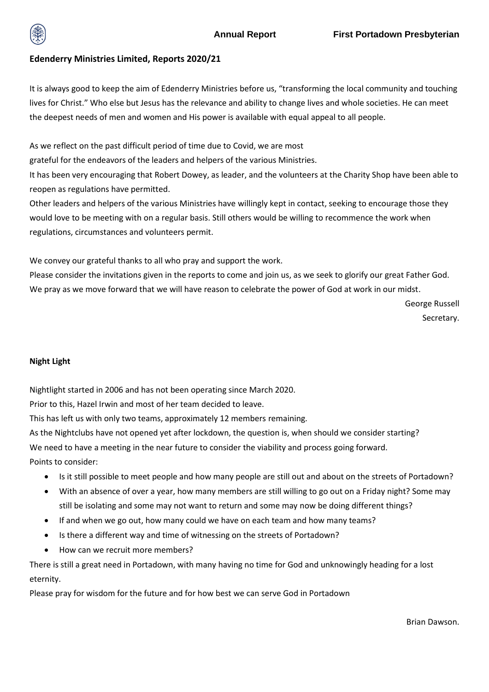

# **Edenderry Ministries Limited, Reports 2020/21**

It is always good to keep the aim of Edenderry Ministries before us, "transforming the local community and touching lives for Christ." Who else but Jesus has the relevance and ability to change lives and whole societies. He can meet the deepest needs of men and women and His power is available with equal appeal to all people.

As we reflect on the past difficult period of time due to Covid, we are most

grateful for the endeavors of the leaders and helpers of the various Ministries.

It has been very encouraging that Robert Dowey, as leader, and the volunteers at the Charity Shop have been able to reopen as regulations have permitted.

Other leaders and helpers of the various Ministries have willingly kept in contact, seeking to encourage those they would love to be meeting with on a regular basis. Still others would be willing to recommence the work when regulations, circumstances and volunteers permit.

We convey our grateful thanks to all who pray and support the work.

Please consider the invitations given in the reports to come and join us, as we seek to glorify our great Father God. We pray as we move forward that we will have reason to celebrate the power of God at work in our midst.

> George Russell Secretary.

## **Night Light**

Nightlight started in 2006 and has not been operating since March 2020.

Prior to this, Hazel Irwin and most of her team decided to leave.

This has left us with only two teams, approximately 12 members remaining.

As the Nightclubs have not opened yet after lockdown, the question is, when should we consider starting? We need to have a meeting in the near future to consider the viability and process going forward. Points to consider:

- Is it still possible to meet people and how many people are still out and about on the streets of Portadown?
- With an absence of over a year, how many members are still willing to go out on a Friday night? Some may still be isolating and some may not want to return and some may now be doing different things?
- If and when we go out, how many could we have on each team and how many teams?
- Is there a different way and time of witnessing on the streets of Portadown?
- How can we recruit more members?

There is still a great need in Portadown, with many having no time for God and unknowingly heading for a lost eternity.

Please pray for wisdom for the future and for how best we can serve God in Portadown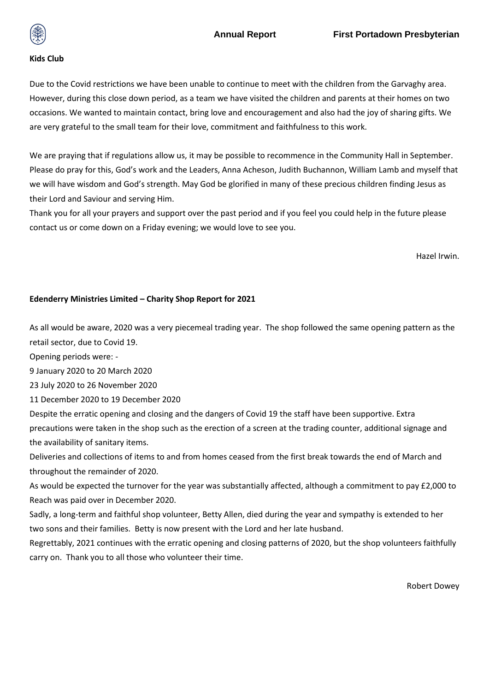

### **Kids Club**

Due to the Covid restrictions we have been unable to continue to meet with the children from the Garvaghy area. However, during this close down period, as a team we have visited the children and parents at their homes on two occasions. We wanted to maintain contact, bring love and encouragement and also had the joy of sharing gifts. We are very grateful to the small team for their love, commitment and faithfulness to this work.

We are praying that if regulations allow us, it may be possible to recommence in the Community Hall in September. Please do pray for this, God's work and the Leaders, Anna Acheson, Judith Buchannon, William Lamb and myself that we will have wisdom and God's strength. May God be glorified in many of these precious children finding Jesus as their Lord and Saviour and serving Him.

Thank you for all your prayers and support over the past period and if you feel you could help in the future please contact us or come down on a Friday evening; we would love to see you.

Hazel Irwin.

## **Edenderry Ministries Limited – Charity Shop Report for 2021**

As all would be aware, 2020 was a very piecemeal trading year. The shop followed the same opening pattern as the retail sector, due to Covid 19.

Opening periods were: -

9 January 2020 to 20 March 2020

23 July 2020 to 26 November 2020

11 December 2020 to 19 December 2020

Despite the erratic opening and closing and the dangers of Covid 19 the staff have been supportive. Extra precautions were taken in the shop such as the erection of a screen at the trading counter, additional signage and the availability of sanitary items.

Deliveries and collections of items to and from homes ceased from the first break towards the end of March and throughout the remainder of 2020.

As would be expected the turnover for the year was substantially affected, although a commitment to pay £2,000 to Reach was paid over in December 2020.

Sadly, a long-term and faithful shop volunteer, Betty Allen, died during the year and sympathy is extended to her two sons and their families. Betty is now present with the Lord and her late husband.

Regrettably, 2021 continues with the erratic opening and closing patterns of 2020, but the shop volunteers faithfully carry on. Thank you to all those who volunteer their time.

Robert Dowey